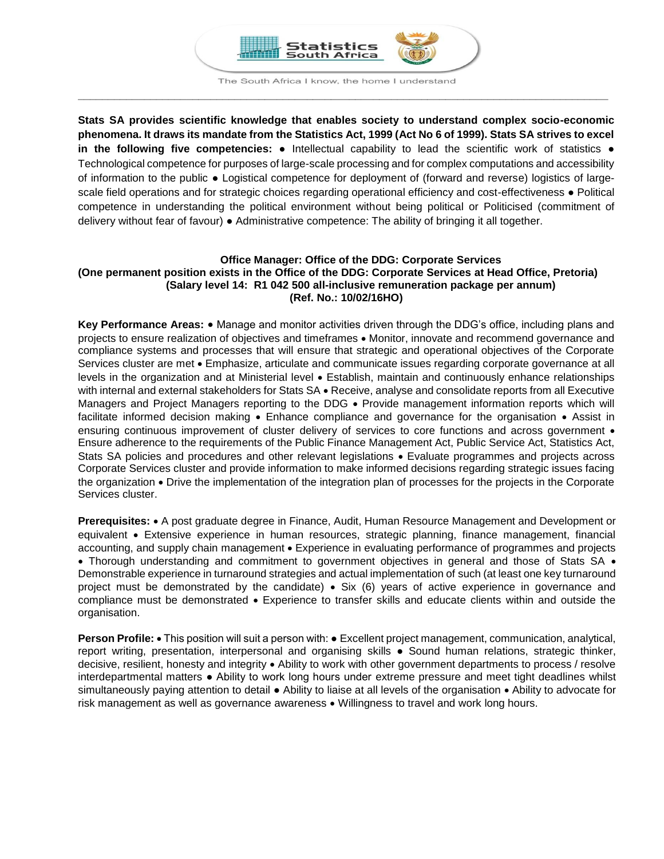

The South Africa I know, the home I understand **\_\_\_\_\_\_\_\_\_\_\_\_\_\_\_\_\_\_\_\_\_\_\_\_\_\_\_\_\_\_\_\_\_\_\_\_\_\_\_\_\_\_\_\_\_\_\_\_\_\_\_\_\_\_\_\_\_\_\_\_\_\_\_\_\_\_\_\_\_\_\_\_\_\_\_\_\_\_\_\_\_\_\_\_\_\_\_\_**

**Stats SA provides scientific knowledge that enables society to understand complex socio-economic phenomena. It draws its mandate from the Statistics Act, 1999 (Act No 6 of 1999). Stats SA strives to excel in the following five competencies:** ● Intellectual capability to lead the scientific work of statistics ● Technological competence for purposes of large-scale processing and for complex computations and accessibility of information to the public ● Logistical competence for deployment of (forward and reverse) logistics of largescale field operations and for strategic choices regarding operational efficiency and cost-effectiveness • Political competence in understanding the political environment without being political or Politicised (commitment of delivery without fear of favour) ● Administrative competence: The ability of bringing it all together.

### **Office Manager: Office of the DDG: Corporate Services (One permanent position exists in the Office of the DDG: Corporate Services at Head Office, Pretoria) (Salary level 14: R1 042 500 all-inclusive remuneration package per annum) (Ref. No.: 10/02/16HO)**

**Key Performance Areas:** Manage and monitor activities driven through the DDG's office, including plans and projects to ensure realization of objectives and timeframes  $\bullet$  Monitor, innovate and recommend governance and compliance systems and processes that will ensure that strategic and operational objectives of the Corporate Services cluster are met • Emphasize, articulate and communicate issues regarding corporate governance at all levels in the organization and at Ministerial level Establish, maintain and continuously enhance relationships with internal and external stakeholders for Stats SA • Receive, analyse and consolidate reports from all Executive Managers and Project Managers reporting to the DDG • Provide management information reports which will facilitate informed decision making • Enhance compliance and governance for the organisation • Assist in ensuring continuous improvement of cluster delivery of services to core functions and across government  $\bullet$ Ensure adherence to the requirements of the Public Finance Management Act, Public Service Act, Statistics Act, Stats SA policies and procedures and other relevant legislations • Evaluate programmes and projects across Corporate Services cluster and provide information to make informed decisions regarding strategic issues facing the organization • Drive the implementation of the integration plan of processes for the projects in the Corporate Services cluster.

**Prerequisites:** A post graduate degree in Finance, Audit, Human Resource Management and Development or equivalent Extensive experience in human resources, strategic planning, finance management, financial accounting, and supply chain management . Experience in evaluating performance of programmes and projects • Thorough understanding and commitment to government objectives in general and those of Stats SA • Demonstrable experience in turnaround strategies and actual implementation of such (at least one key turnaround project must be demonstrated by the candidate)  $\bullet$  Six (6) years of active experience in governance and compliance must be demonstrated • Experience to transfer skills and educate clients within and outside the organisation.

**Person Profile: •** This position will suit a person with: • Excellent project management, communication, analytical, report writing, presentation, interpersonal and organising skills ● Sound human relations, strategic thinker, decisive, resilient, honesty and integrity Ability to work with other government departments to process / resolve interdepartmental matters ● Ability to work long hours under extreme pressure and meet tight deadlines whilst simultaneously paying attention to detail ● Ability to liaise at all levels of the organisation • Ability to advocate for risk management as well as governance awareness • Willingness to travel and work long hours.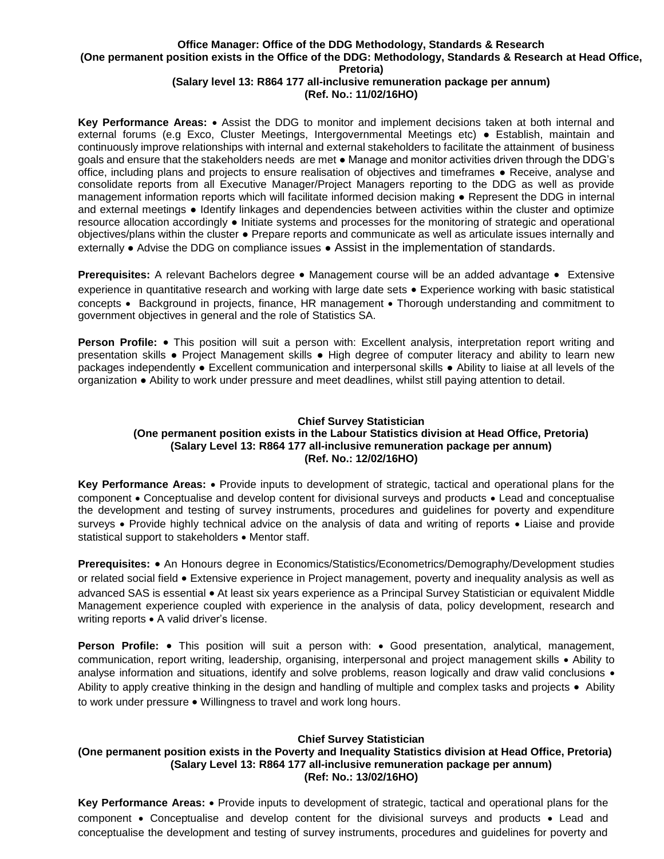# **Office Manager: Office of the DDG Methodology, Standards & Research (One permanent position exists in the Office of the DDG: Methodology, Standards & Research at Head Office, Pretoria)**

### **(Salary level 13: R864 177 all-inclusive remuneration package per annum) (Ref. No.: 11/02/16HO)**

**Key Performance Areas:** • Assist the DDG to monitor and implement decisions taken at both internal and external forums (e.g Exco, Cluster Meetings, Intergovernmental Meetings etc) ● Establish, maintain and continuously improve relationships with internal and external stakeholders to facilitate the attainment of business goals and ensure that the stakeholders needs are met ● Manage and monitor activities driven through the DDG's office, including plans and projects to ensure realisation of objectives and timeframes ● Receive, analyse and consolidate reports from all Executive Manager/Project Managers reporting to the DDG as well as provide management information reports which will facilitate informed decision making ● Represent the DDG in internal and external meetings ● Identify linkages and dependencies between activities within the cluster and optimize resource allocation accordingly ● Initiate systems and processes for the monitoring of strategic and operational objectives/plans within the cluster ● Prepare reports and communicate as well as articulate issues internally and externally ● Advise the DDG on compliance issues ● Assist in the implementation of standards.

**Prerequisites:** A relevant Bachelors degree • Management course will be an added advantage • Extensive experience in quantitative research and working with large date sets • Experience working with basic statistical concepts • Background in projects, finance, HR management • Thorough understanding and commitment to government objectives in general and the role of Statistics SA.

**Person Profile:** • This position will suit a person with: Excellent analysis, interpretation report writing and presentation skills ● Project Management skills ● High degree of computer literacy and ability to learn new packages independently ● Excellent communication and interpersonal skills ● Ability to liaise at all levels of the organization ● Ability to work under pressure and meet deadlines, whilst still paying attention to detail.

### **Chief Survey Statistician (One permanent position exists in the Labour Statistics division at Head Office, Pretoria) (Salary Level 13: R864 177 all-inclusive remuneration package per annum) (Ref. No.: 12/02/16HO)**

**Key Performance Areas:** Provide inputs to development of strategic, tactical and operational plans for the component • Conceptualise and develop content for divisional surveys and products • Lead and conceptualise the development and testing of survey instruments, procedures and guidelines for poverty and expenditure surveys • Provide highly technical advice on the analysis of data and writing of reports • Liaise and provide statistical support to stakeholders • Mentor staff.

**Prerequisites:** • An Honours degree in Economics/Statistics/Econometrics/Demography/Development studies or related social field Extensive experience in Project management, poverty and inequality analysis as well as advanced SAS is essential • At least six years experience as a Principal Survey Statistician or equivalent Middle Management experience coupled with experience in the analysis of data, policy development, research and writing reports • A valid driver's license.

**Person Profile:** • This position will suit a person with: • Good presentation, analytical, management, communication, report writing, leadership, organising, interpersonal and project management skills Ability to analyse information and situations, identify and solve problems, reason logically and draw valid conclusions  $\bullet$ Ability to apply creative thinking in the design and handling of multiple and complex tasks and projects • Ability to work under pressure  $\bullet$  Willingness to travel and work long hours.

# **Chief Survey Statistician**

### **(One permanent position exists in the Poverty and Inequality Statistics division at Head Office, Pretoria) (Salary Level 13: R864 177 all-inclusive remuneration package per annum) (Ref: No.: 13/02/16HO)**

**Key Performance Areas:** Provide inputs to development of strategic, tactical and operational plans for the component • Conceptualise and develop content for the divisional surveys and products • Lead and conceptualise the development and testing of survey instruments, procedures and guidelines for poverty and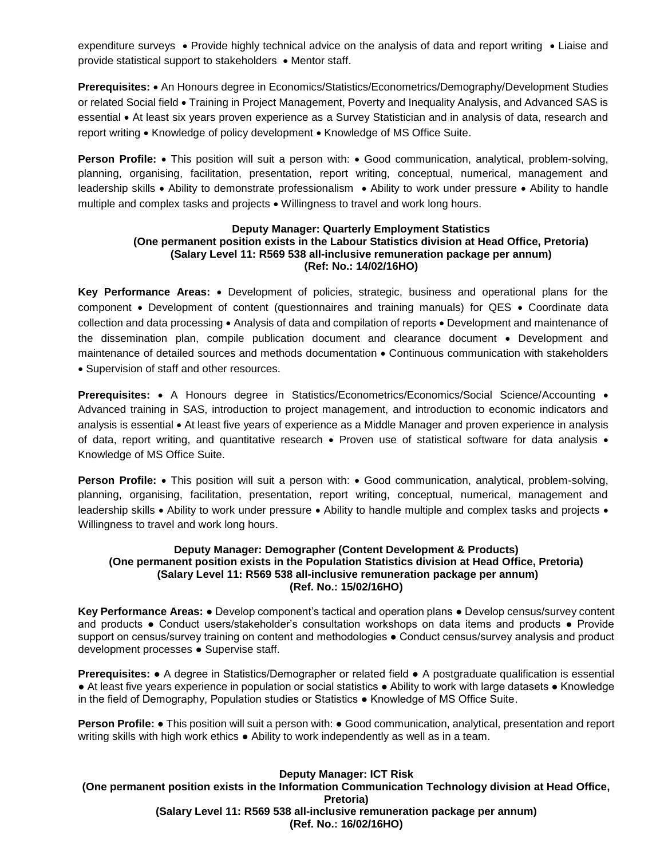expenditure surveys • Provide highly technical advice on the analysis of data and report writing • Liaise and provide statistical support to stakeholders • Mentor staff.

**Prerequisites:** • An Honours degree in Economics/Statistics/Econometrics/Demography/Development Studies or related Social field • Training in Project Management, Poverty and Inequality Analysis, and Advanced SAS is essential At least six years proven experience as a Survey Statistician and in analysis of data, research and report writing • Knowledge of policy development • Knowledge of MS Office Suite.

**Person Profile:** • This position will suit a person with: • Good communication, analytical, problem-solving, planning, organising, facilitation, presentation, report writing, conceptual, numerical, management and leadership skills • Ability to demonstrate professionalism • Ability to work under pressure • Ability to handle multiple and complex tasks and projects  $\bullet$  Willingness to travel and work long hours.

#### **Deputy Manager: Quarterly Employment Statistics (One permanent position exists in the Labour Statistics division at Head Office, Pretoria) (Salary Level 11: R569 538 all-inclusive remuneration package per annum) (Ref: No.: 14/02/16HO)**

**Key Performance Areas:** Development of policies, strategic, business and operational plans for the component  $\bullet$  Development of content (questionnaires and training manuals) for QES  $\bullet$  Coordinate data collection and data processing • Analysis of data and compilation of reports • Development and maintenance of the dissemination plan, compile publication document and clearance document • Development and maintenance of detailed sources and methods documentation • Continuous communication with stakeholders Supervision of staff and other resources.

**Prerequisites:** • A Honours degree in Statistics/Econometrics/Economics/Social Science/Accounting • Advanced training in SAS, introduction to project management, and introduction to economic indicators and analysis is essential • At least five years of experience as a Middle Manager and proven experience in analysis of data, report writing, and quantitative research • Proven use of statistical software for data analysis • Knowledge of MS Office Suite.

**Person Profile:** • This position will suit a person with: • Good communication, analytical, problem-solving, planning, organising, facilitation, presentation, report writing, conceptual, numerical, management and leadership skills • Ability to work under pressure • Ability to handle multiple and complex tasks and projects • Willingness to travel and work long hours.

#### **Deputy Manager: Demographer (Content Development & Products) (One permanent position exists in the Population Statistics division at Head Office, Pretoria) (Salary Level 11: R569 538 all-inclusive remuneration package per annum) (Ref. No.: 15/02/16HO)**

**Key Performance Areas:** ● Develop component's tactical and operation plans ● Develop census/survey content and products ● Conduct users/stakeholder's consultation workshops on data items and products ● Provide support on census/survey training on content and methodologies • Conduct census/survey analysis and product development processes ● Supervise staff.

**Prerequisites:** ● A degree in Statistics/Demographer or related field ● A postgraduate qualification is essential ● At least five years experience in population or social statistics ● Ability to work with large datasets ● Knowledge in the field of Demography, Population studies or Statistics ● Knowledge of MS Office Suite.

**Person Profile: •** This position will suit a person with: • Good communication, analytical, presentation and report writing skills with high work ethics ● Ability to work independently as well as in a team.

### **Deputy Manager: ICT Risk**

**(One permanent position exists in the Information Communication Technology division at Head Office, Pretoria) (Salary Level 11: R569 538 all-inclusive remuneration package per annum) (Ref. No.: 16/02/16HO)**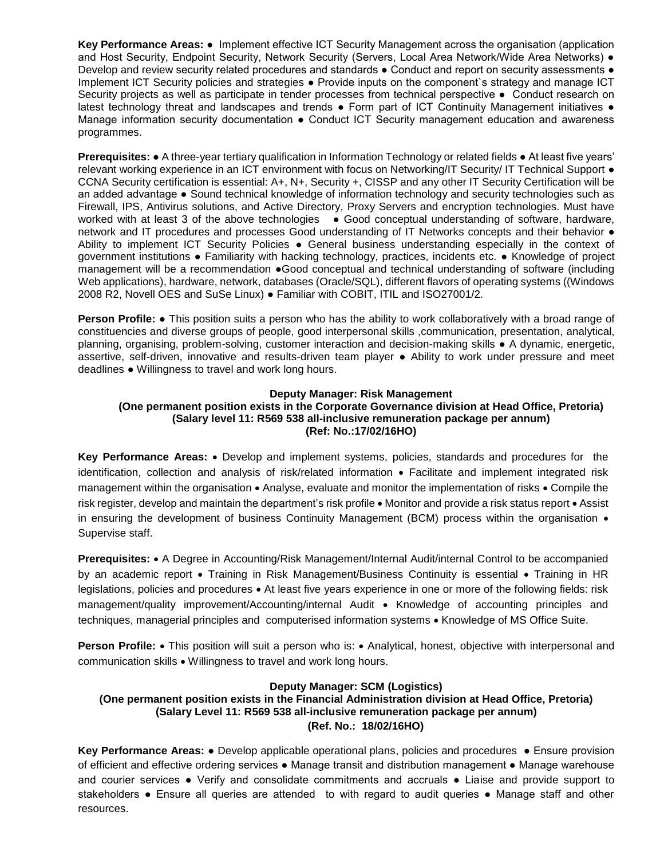**Key Performance Areas:** ● Implement effective ICT Security Management across the organisation (application and Host Security, Endpoint Security, Network Security (Servers, Local Area Network/Wide Area Networks) • Develop and review security related procedures and standards ● Conduct and report on security assessments ● Implement ICT Security policies and strategies ● Provide inputs on the component`s strategy and manage ICT Security projects as well as participate in tender processes from technical perspective ● Conduct research on latest technology threat and landscapes and trends • Form part of ICT Continuity Management initiatives • Manage information security documentation • Conduct ICT Security management education and awareness programmes.

**Prerequisites: ●** A three-year tertiary qualification in Information Technology or related fields ● At least five years' relevant working experience in an ICT environment with focus on Networking/IT Security/ IT Technical Support ● CCNA Security certification is essential: A+, N+, Security +, CISSP and any other IT Security Certification will be an added advantage ● Sound technical knowledge of information technology and security technologies such as Firewall, IPS, Antivirus solutions, and Active Directory, Proxy Servers and encryption technologies. Must have worked with at least 3 of the above technologies • Good conceptual understanding of software, hardware, network and IT procedures and processes Good understanding of IT Networks concepts and their behavior ● Ability to implement ICT Security Policies ● General business understanding especially in the context of government institutions ● Familiarity with hacking technology, practices, incidents etc. ● Knowledge of project management will be a recommendation ●Good conceptual and technical understanding of software (including Web applications), hardware, network, databases (Oracle/SQL), different flavors of operating systems ((Windows 2008 R2, Novell OES and SuSe Linux) ● Familiar with COBIT, ITIL and ISO27001/2.

**Person Profile: ●** This position suits a person who has the ability to work collaboratively with a broad range of constituencies and diverse groups of people, good interpersonal skills ,communication, presentation, analytical, planning, organising, problem-solving, customer interaction and decision-making skills ● A dynamic, energetic, assertive, self-driven, innovative and results-driven team player ● Ability to work under pressure and meet deadlines ● Willingness to travel and work long hours.

#### **Deputy Manager: Risk Management (One permanent position exists in the Corporate Governance division at Head Office, Pretoria) (Salary level 11: R569 538 all-inclusive remuneration package per annum) (Ref: No.:17/02/16HO)**

**Key Performance Areas:** Develop and implement systems, policies, standards and procedures for the identification, collection and analysis of risk/related information Facilitate and implement integrated risk management within the organisation • Analyse, evaluate and monitor the implementation of risks • Compile the risk register, develop and maintain the department's risk profile • Monitor and provide a risk status report • Assist in ensuring the development of business Continuity Management (BCM) process within the organisation  $\bullet$ Supervise staff.

**Prerequisites:** • A Degree in Accounting/Risk Management/Internal Audit/internal Control to be accompanied by an academic report • Training in Risk Management/Business Continuity is essential • Training in HR legislations, policies and procedures • At least five years experience in one or more of the following fields: risk management/quality improvement/Accounting/internal Audit • Knowledge of accounting principles and techniques, managerial principles and computerised information systems • Knowledge of MS Office Suite.

**Person Profile:** • This position will suit a person who is: • Analytical, honest, objective with interpersonal and communication skills . Willingness to travel and work long hours.

# **Deputy Manager: SCM (Logistics)**

# **(One permanent position exists in the Financial Administration division at Head Office, Pretoria) (Salary Level 11: R569 538 all-inclusive remuneration package per annum) (Ref. No.: 18/02/16HO)**

**Key Performance Areas: •** Develop applicable operational plans, policies and procedures • Ensure provision of efficient and effective ordering services ● Manage transit and distribution management ● Manage warehouse and courier services ● Verify and consolidate commitments and accruals ● Liaise and provide support to stakeholders • Ensure all queries are attended to with regard to audit queries • Manage staff and other resources.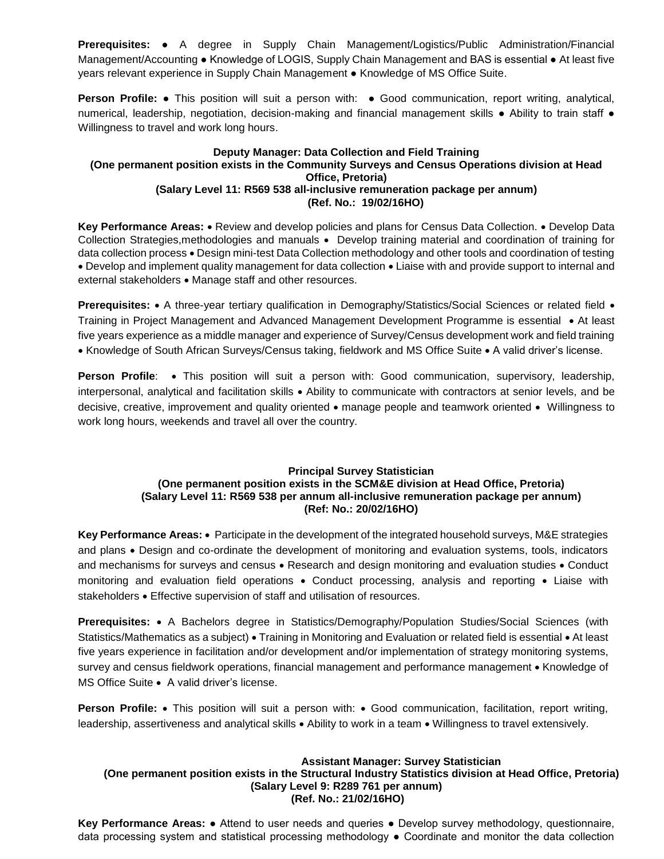**Prerequisites:** ● A degree in Supply Chain Management/Logistics/Public Administration/Financial Management/Accounting ● Knowledge of LOGIS, Supply Chain Management and BAS is essential ● At least five years relevant experience in Supply Chain Management ● Knowledge of MS Office Suite.

**Person Profile:** ● This position will suit a person with: ● Good communication, report writing, analytical, numerical, leadership, negotiation, decision-making and financial management skills ● Ability to train staff ● Willingness to travel and work long hours.

### **Deputy Manager: Data Collection and Field Training (One permanent position exists in the Community Surveys and Census Operations division at Head Office, Pretoria) (Salary Level 11: R569 538 all-inclusive remuneration package per annum) (Ref. No.: 19/02/16HO)**

Key Performance Areas: • Review and develop policies and plans for Census Data Collection. • Develop Data Collection Strategies, methodologies and manuals • Develop training material and coordination of training for data collection process • Design mini-test Data Collection methodology and other tools and coordination of testing Develop and implement quality management for data collection Liaise with and provide support to internal and external stakeholders • Manage staff and other resources.

**Prerequisites:** • A three-year tertiary qualification in Demography/Statistics/Social Sciences or related field • Training in Project Management and Advanced Management Development Programme is essential • At least five years experience as a middle manager and experience of Survey/Census development work and field training • Knowledge of South African Surveys/Census taking, fieldwork and MS Office Suite • A valid driver's license.

**Person Profile**: . This position will suit a person with: Good communication, supervisory, leadership, interpersonal, analytical and facilitation skills Ability to communicate with contractors at senior levels, and be decisive, creative, improvement and quality oriented • manage people and teamwork oriented • Willingness to work long hours, weekends and travel all over the country.

### **Principal Survey Statistician (One permanent position exists in the SCM&E division at Head Office, Pretoria) (Salary Level 11: R569 538 per annum all-inclusive remuneration package per annum) (Ref: No.: 20/02/16HO)**

**Key Performance Areas:** Participate in the development of the integrated household surveys, M&E strategies and plans • Design and co-ordinate the development of monitoring and evaluation systems, tools, indicators and mechanisms for surveys and census • Research and design monitoring and evaluation studies • Conduct monitoring and evaluation field operations • Conduct processing, analysis and reporting • Liaise with stakeholders • Effective supervision of staff and utilisation of resources.

**Prerequisites:** A Bachelors degree in Statistics/Demography/Population Studies/Social Sciences (with Statistics/Mathematics as a subject) • Training in Monitoring and Evaluation or related field is essential • At least five years experience in facilitation and/or development and/or implementation of strategy monitoring systems, survey and census fieldwork operations, financial management and performance management • Knowledge of MS Office Suite • A valid driver's license.

**Person Profile:** • This position will suit a person with: • Good communication, facilitation, report writing, leadership, assertiveness and analytical skills • Ability to work in a team • Willingness to travel extensively.

# **Assistant Manager: Survey Statistician (One permanent position exists in the Structural Industry Statistics division at Head Office, Pretoria) (Salary Level 9: R289 761 per annum) (Ref. No.: 21/02/16HO)**

**Key Performance Areas:** ● Attend to user needs and queries ● Develop survey methodology, questionnaire, data processing system and statistical processing methodology ● Coordinate and monitor the data collection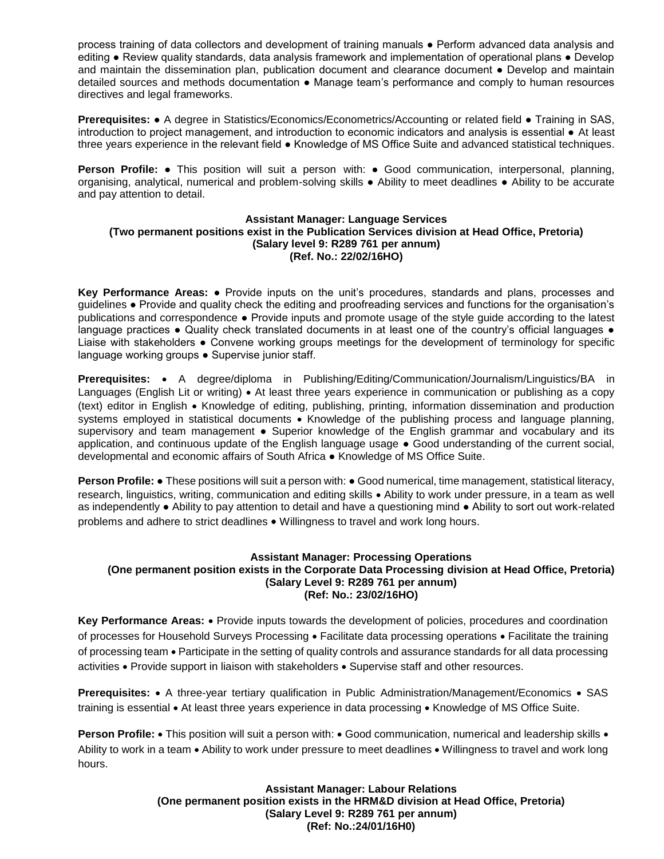process training of data collectors and development of training manuals ● Perform advanced data analysis and editing ● Review quality standards, data analysis framework and implementation of operational plans ● Develop and maintain the dissemination plan, publication document and clearance document • Develop and maintain detailed sources and methods documentation ● Manage team's performance and comply to human resources directives and legal frameworks.

**Prerequisites:** ● A degree in Statistics/Economics/Econometrics/Accounting or related field ● Training in SAS, introduction to project management, and introduction to economic indicators and analysis is essential ● At least three years experience in the relevant field ● Knowledge of MS Office Suite and advanced statistical techniques.

**Person Profile:** ● This position will suit a person with: ● Good communication, interpersonal, planning, organising, analytical, numerical and problem-solving skills ● Ability to meet deadlines ● Ability to be accurate and pay attention to detail.

#### **Assistant Manager: Language Services (Two permanent positions exist in the Publication Services division at Head Office, Pretoria) (Salary level 9: R289 761 per annum) (Ref. No.: 22/02/16HO)**

**Key Performance Areas:** ● Provide inputs on the unit's procedures, standards and plans, processes and guidelines **●** Provide and quality check the editing and proofreading services and functions for the organisation's publications and correspondence ● Provide inputs and promote usage of the style guide according to the latest language practices ● Quality check translated documents in at least one of the country's official languages ● Liaise with stakeholders ● Convene working groups meetings for the development of terminology for specific language working groups ● Supervise junior staff.

**Prerequisites:** • A degree/diploma in Publishing/Editing/Communication/Journalism/Linguistics/BA in Languages (English Lit or writing) • At least three years experience in communication or publishing as a copy (text) editor in English Knowledge of editing, publishing, printing, information dissemination and production systems employed in statistical documents • Knowledge of the publishing process and language planning, supervisory and team management • Superior knowledge of the English grammar and vocabulary and its application, and continuous update of the English language usage ● Good understanding of the current social, developmental and economic affairs of South Africa ● Knowledge of MS Office Suite.

**Person Profile: •** These positions will suit a person with: • Good numerical, time management, statistical literacy, research, linguistics, writing, communication and editing skills Ability to work under pressure, in a team as well as independently ● Ability to pay attention to detail and have a questioning mind ● Ability to sort out work-related problems and adhere to strict deadlines Willingness to travel and work long hours.

### **Assistant Manager: Processing Operations (One permanent position exists in the Corporate Data Processing division at Head Office, Pretoria) (Salary Level 9: R289 761 per annum) (Ref: No.: 23/02/16HO)**

**Key Performance Areas:** Provide inputs towards the development of policies, procedures and coordination of processes for Household Surveys Processing • Facilitate data processing operations • Facilitate the training of processing team Participate in the setting of quality controls and assurance standards for all data processing activities • Provide support in liaison with stakeholders • Supervise staff and other resources.

**Prerequisites:** • A three-year tertiary qualification in Public Administration/Management/Economics • SAS training is essential • At least three years experience in data processing • Knowledge of MS Office Suite.

**Person Profile:** • This position will suit a person with: • Good communication, numerical and leadership skills • Ability to work in a team • Ability to work under pressure to meet deadlines • Willingness to travel and work long hours.

> **Assistant Manager: Labour Relations (One permanent position exists in the HRM&D division at Head Office, Pretoria) (Salary Level 9: R289 761 per annum) (Ref: No.:24/01/16H0)**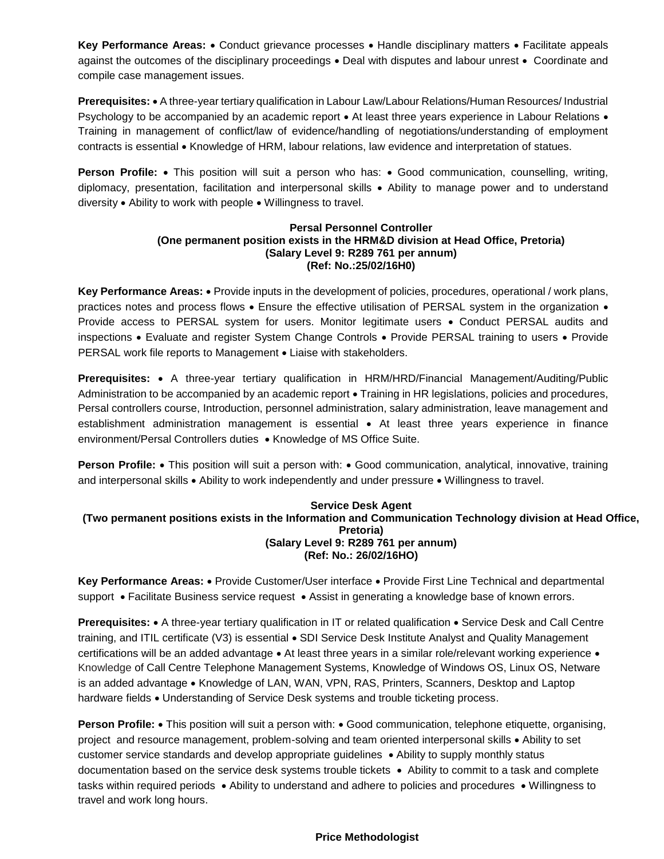**Key Performance Areas:** • Conduct grievance processes • Handle disciplinary matters • Facilitate appeals against the outcomes of the disciplinary proceedings • Deal with disputes and labour unrest • Coordinate and compile case management issues.

**Prerequisites:** A three-year tertiary qualification in Labour Law/Labour Relations/Human Resources/ Industrial Psychology to be accompanied by an academic report • At least three years experience in Labour Relations • Training in management of conflict/law of evidence/handling of negotiations/understanding of employment contracts is essential • Knowledge of HRM, labour relations, law evidence and interpretation of statues.

**Person Profile:** • This position will suit a person who has: • Good communication, counselling, writing, diplomacy, presentation, facilitation and interpersonal skills Ability to manage power and to understand diversity • Ability to work with people • Willingness to travel.

#### **Persal Personnel Controller (One permanent position exists in the HRM&D division at Head Office, Pretoria) (Salary Level 9: R289 761 per annum) (Ref: No.:25/02/16H0)**

Key Performance Areas:  $\bullet$  Provide inputs in the development of policies, procedures, operational / work plans, practices notes and process flows • Ensure the effective utilisation of PERSAL system in the organization • Provide access to PERSAL system for users. Monitor legitimate users . Conduct PERSAL audits and inspections • Evaluate and register System Change Controls • Provide PERSAL training to users • Provide PERSAL work file reports to Management . Liaise with stakeholders.

**Prerequisites:** • A three-year tertiary qualification in HRM/HRD/Financial Management/Auditing/Public Administration to be accompanied by an academic report . Training in HR legislations, policies and procedures, Persal controllers course, Introduction, personnel administration, salary administration, leave management and establishment administration management is essential • At least three years experience in finance environment/Persal Controllers duties • Knowledge of MS Office Suite.

**Person Profile:** • This position will suit a person with: • Good communication, analytical, innovative, training and interpersonal skills  $\bullet$  Ability to work independently and under pressure  $\bullet$  Willingness to travel.

### **Service Desk Agent (Two permanent positions exists in the Information and Communication Technology division at Head Office, Pretoria) (Salary Level 9: R289 761 per annum) (Ref: No.: 26/02/16HO)**

**Key Performance Areas:** Provide Customer/User interface Provide First Line Technical and departmental support • Facilitate Business service request • Assist in generating a knowledge base of known errors.

**Prerequisites:** • A three-year tertiary qualification in IT or related qualification • Service Desk and Call Centre training, and ITIL certificate (V3) is essential • SDI Service Desk Institute Analyst and Quality Management certifications will be an added advantage • At least three years in a similar role/relevant working experience • Knowledge of Call Centre Telephone Management Systems, Knowledge of Windows OS, Linux OS, Netware is an added advantage • Knowledge of LAN, WAN, VPN, RAS, Printers, Scanners, Desktop and Laptop hardware fields . Understanding of Service Desk systems and trouble ticketing process.

**Person Profile:** • This position will suit a person with: • Good communication, telephone etiquette, organising, project and resource management, problem-solving and team oriented interpersonal skills . Ability to set customer service standards and develop appropriate guidelines • Ability to supply monthly status documentation based on the service desk systems trouble tickets • Ability to commit to a task and complete tasks within required periods • Ability to understand and adhere to policies and procedures • Willingness to travel and work long hours.

# **Price Methodologist**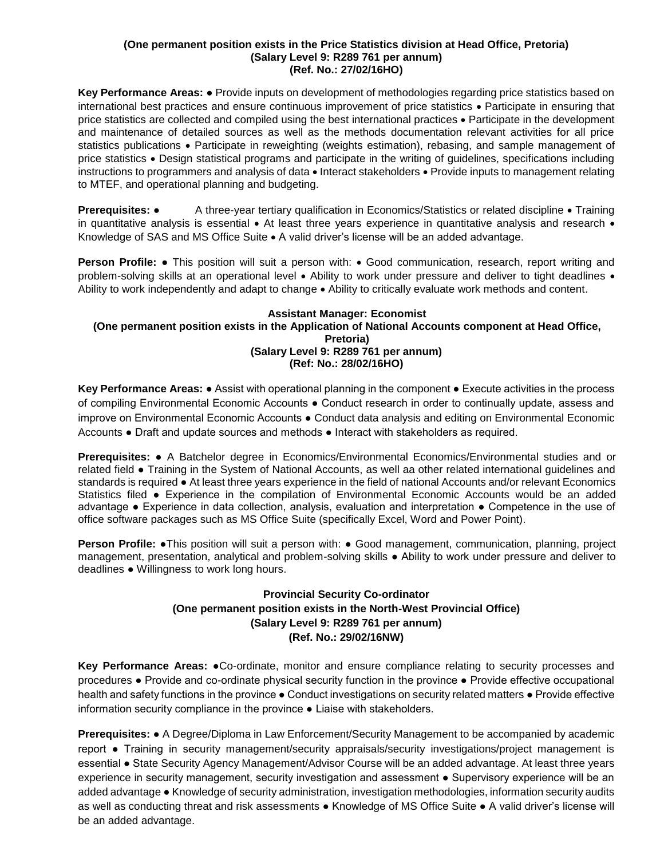#### **(One permanent position exists in the Price Statistics division at Head Office, Pretoria) (Salary Level 9: R289 761 per annum) (Ref. No.: 27/02/16HO)**

**Key Performance Areas:** ● Provide inputs on development of methodologies regarding price statistics based on international best practices and ensure continuous improvement of price statistics • Participate in ensuring that price statistics are collected and compiled using the best international practices • Participate in the development and maintenance of detailed sources as well as the methods documentation relevant activities for all price statistics publications • Participate in reweighting (weights estimation), rebasing, and sample management of price statistics Design statistical programs and participate in the writing of guidelines, specifications including instructions to programmers and analysis of data . Interact stakeholders . Provide inputs to management relating to MTEF, and operational planning and budgeting.

**Prerequisites:** • A three-year tertiary qualification in Economics/Statistics or related discipline • Training in quantitative analysis is essential  $\bullet$  At least three years experience in quantitative analysis and research  $\bullet$ Knowledge of SAS and MS Office Suite  $\bullet$  A valid driver's license will be an added advantage.

**Person Profile:** ● This position will suit a person with: • Good communication, research, report writing and problem-solving skills at an operational level • Ability to work under pressure and deliver to tight deadlines • Ability to work independently and adapt to change • Ability to critically evaluate work methods and content.

### **Assistant Manager: Economist (One permanent position exists in the Application of National Accounts component at Head Office, Pretoria) (Salary Level 9: R289 761 per annum) (Ref: No.: 28/02/16HO)**

**Key Performance Areas:** ● Assist with operational planning in the component ● Execute activities in the process of compiling Environmental Economic Accounts ● Conduct research in order to continually update, assess and improve on Environmental Economic Accounts ● Conduct data analysis and editing on Environmental Economic Accounts ● Draft and update sources and methods ● Interact with stakeholders as required.

**Prerequisites:** ● A Batchelor degree in Economics/Environmental Economics/Environmental studies and or related field ● Training in the System of National Accounts, as well aa other related international guidelines and standards is required ● At least three years experience in the field of national Accounts and/or relevant Economics Statistics filed ● Experience in the compilation of Environmental Economic Accounts would be an added advantage ● Experience in data collection, analysis, evaluation and interpretation ● Competence in the use of office software packages such as MS Office Suite (specifically Excel, Word and Power Point).

**Person Profile: •**This position will suit a person with: • Good management, communication, planning, project management, presentation, analytical and problem-solving skills ● Ability to work under pressure and deliver to deadlines ● Willingness to work long hours.

# **Provincial Security Co-ordinator (One permanent position exists in the North-West Provincial Office) (Salary Level 9: R289 761 per annum) (Ref. No.: 29/02/16NW)**

**Key Performance Areas:** ●Co-ordinate, monitor and ensure compliance relating to security processes and procedures ● Provide and co-ordinate physical security function in the province ● Provide effective occupational health and safety functions in the province  $\bullet$  Conduct investigations on security related matters  $\bullet$  Provide effective information security compliance in the province ● Liaise with stakeholders.

**Prerequisites:** ● A Degree/Diploma in Law Enforcement/Security Management to be accompanied by academic report ● Training in security management/security appraisals/security investigations/project management is essential ● State Security Agency Management/Advisor Course will be an added advantage. At least three years experience in security management, security investigation and assessment • Supervisory experience will be an added advantage ● Knowledge of security administration, investigation methodologies, information security audits as well as conducting threat and risk assessments ● Knowledge of MS Office Suite ● A valid driver's license will be an added advantage.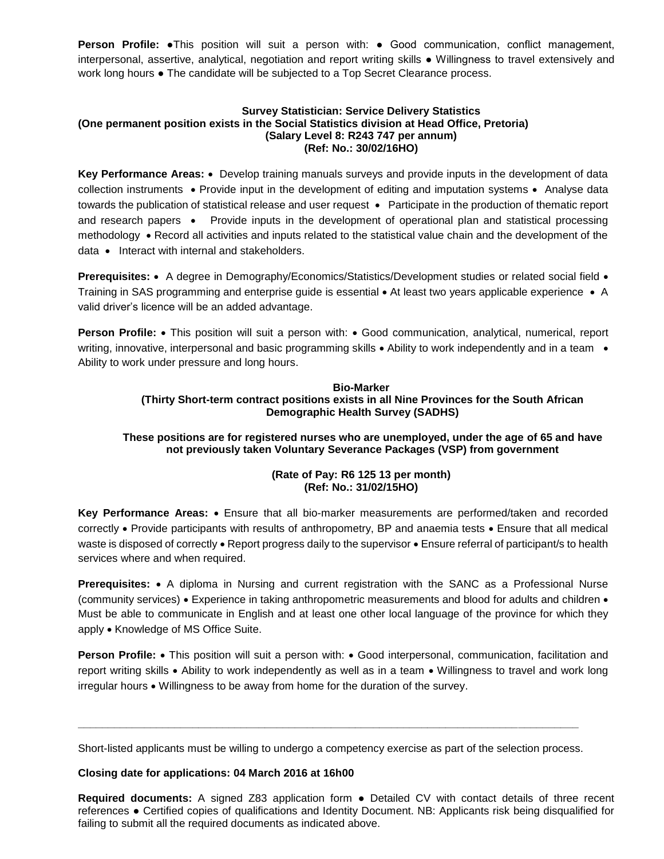**Person Profile:** •This position will suit a person with: • Good communication, conflict management, interpersonal, assertive, analytical, negotiation and report writing skills ● Willingness to travel extensively and work long hours ● The candidate will be subjected to a Top Secret Clearance process.

#### **Survey Statistician: Service Delivery Statistics (One permanent position exists in the Social Statistics division at Head Office, Pretoria) (Salary Level 8: R243 747 per annum) (Ref: No.: 30/02/16HO)**

Key Performance Areas: • Develop training manuals surveys and provide inputs in the development of data collection instruments • Provide input in the development of editing and imputation systems • Analyse data towards the publication of statistical release and user request • Participate in the production of thematic report and research papers • Provide inputs in the development of operational plan and statistical processing methodology • Record all activities and inputs related to the statistical value chain and the development of the  $data \cdot$  Interact with internal and stakeholders.

**Prerequisites:** • A degree in Demography/Economics/Statistics/Development studies or related social field • Training in SAS programming and enterprise guide is essential • At least two years applicable experience • A valid driver's licence will be an added advantage.

**Person Profile:** • This position will suit a person with: • Good communication, analytical, numerical, report writing, innovative, interpersonal and basic programming skills • Ability to work independently and in a team • Ability to work under pressure and long hours.

# **Bio-Marker (Thirty Short-term contract positions exists in all Nine Provinces for the South African Demographic Health Survey (SADHS)**

# **These positions are for registered nurses who are unemployed, under the age of 65 and have not previously taken Voluntary Severance Packages (VSP) from government**

# **(Rate of Pay: R6 125 13 per month) (Ref: No.: 31/02/15HO)**

**Key Performance Areas:** Ensure that all bio-marker measurements are performed/taken and recorded correctly • Provide participants with results of anthropometry, BP and anaemia tests • Ensure that all medical waste is disposed of correctly • Report progress daily to the supervisor • Ensure referral of participant/s to health services where and when required.

**Prerequisites:** A diploma in Nursing and current registration with the SANC as a Professional Nurse (community services) • Experience in taking anthropometric measurements and blood for adults and children • Must be able to communicate in English and at least one other local language of the province for which they apply • Knowledge of MS Office Suite.

**Person Profile:** • This position will suit a person with: • Good interpersonal, communication, facilitation and report writing skills Ability to work independently as well as in a team Willingness to travel and work long irregular hours Willingness to be away from home for the duration of the survey.

Short-listed applicants must be willing to undergo a competency exercise as part of the selection process.

**\_\_\_\_\_\_\_\_\_\_\_\_\_\_\_\_\_\_\_\_\_\_\_\_\_\_\_\_\_\_\_\_\_\_\_\_\_\_\_\_\_\_\_\_\_\_\_\_\_\_\_\_\_\_\_\_\_\_\_\_\_\_\_\_\_\_\_\_\_\_\_\_\_\_\_\_\_\_\_\_\_\_\_**

# **Closing date for applications: 04 March 2016 at 16h00**

**Required documents:** A signed Z83 application form ● Detailed CV with contact details of three recent references ● Certified copies of qualifications and Identity Document. NB: Applicants risk being disqualified for failing to submit all the required documents as indicated above.